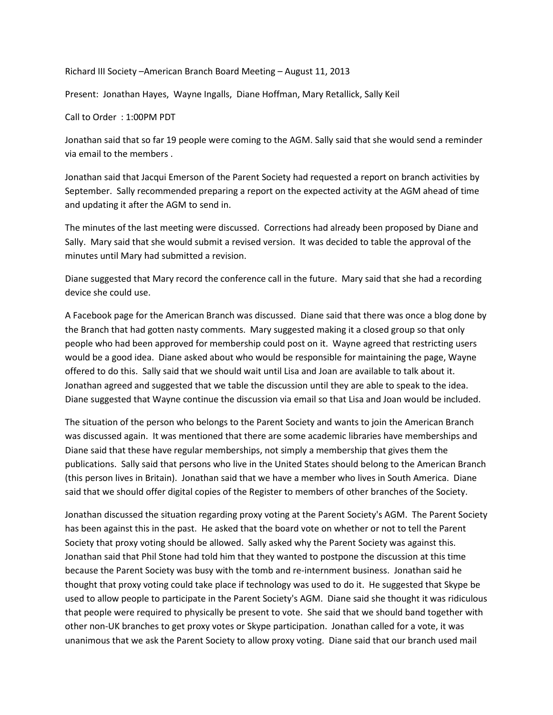Richard III Society –American Branch Board Meeting – August 11, 2013

Present: Jonathan Hayes, Wayne Ingalls, Diane Hoffman, Mary Retallick, Sally Keil

## Call to Order : 1:00PM PDT

Jonathan said that so far 19 people were coming to the AGM. Sally said that she would send a reminder via email to the members .

Jonathan said that Jacqui Emerson of the Parent Society had requested a report on branch activities by September. Sally recommended preparing a report on the expected activity at the AGM ahead of time and updating it after the AGM to send in.

The minutes of the last meeting were discussed. Corrections had already been proposed by Diane and Sally. Mary said that she would submit a revised version. It was decided to table the approval of the minutes until Mary had submitted a revision.

Diane suggested that Mary record the conference call in the future. Mary said that she had a recording device she could use.

A Facebook page for the American Branch was discussed. Diane said that there was once a blog done by the Branch that had gotten nasty comments. Mary suggested making it a closed group so that only people who had been approved for membership could post on it. Wayne agreed that restricting users would be a good idea. Diane asked about who would be responsible for maintaining the page, Wayne offered to do this. Sally said that we should wait until Lisa and Joan are available to talk about it. Jonathan agreed and suggested that we table the discussion until they are able to speak to the idea. Diane suggested that Wayne continue the discussion via email so that Lisa and Joan would be included.

The situation of the person who belongs to the Parent Society and wants to join the American Branch was discussed again. It was mentioned that there are some academic libraries have memberships and Diane said that these have regular memberships, not simply a membership that gives them the publications. Sally said that persons who live in the United States should belong to the American Branch (this person lives in Britain). Jonathan said that we have a member who lives in South America. Diane said that we should offer digital copies of the Register to members of other branches of the Society.

Jonathan discussed the situation regarding proxy voting at the Parent Society's AGM. The Parent Society has been against this in the past. He asked that the board vote on whether or not to tell the Parent Society that proxy voting should be allowed. Sally asked why the Parent Society was against this. Jonathan said that Phil Stone had told him that they wanted to postpone the discussion at this time because the Parent Society was busy with the tomb and re-internment business. Jonathan said he thought that proxy voting could take place if technology was used to do it. He suggested that Skype be used to allow people to participate in the Parent Society's AGM. Diane said she thought it was ridiculous that people were required to physically be present to vote. She said that we should band together with other non-UK branches to get proxy votes or Skype participation. Jonathan called for a vote, it was unanimous that we ask the Parent Society to allow proxy voting. Diane said that our branch used mail